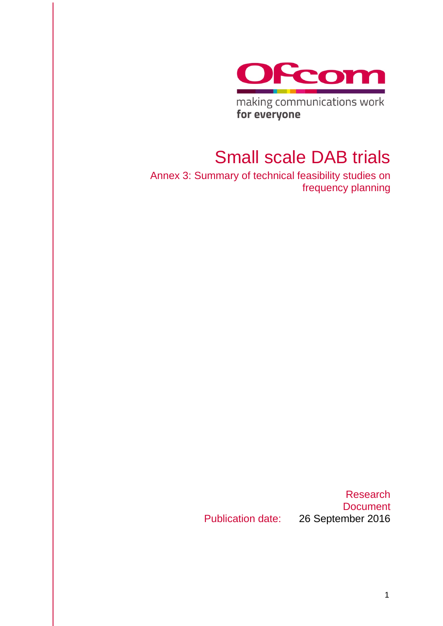

making communications work for everyone

# Small scale DAB trials

Annex 3: Summary of technical feasibility studies on frequency planning

Research **Document** Publication date: 26 September 2016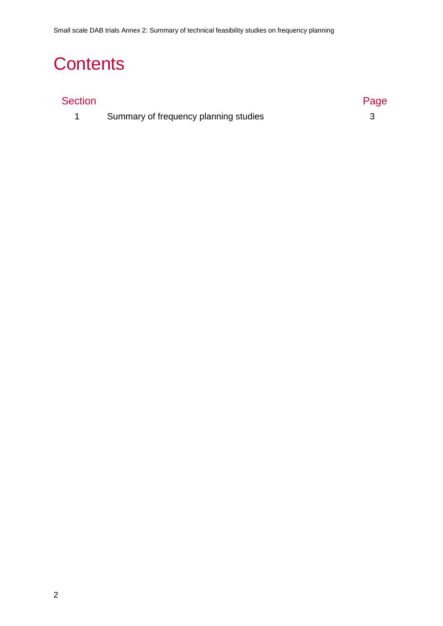# **Contents**

## Section **Page 2018**

1 [Summary of frequency planning studies](#page-2-0) 3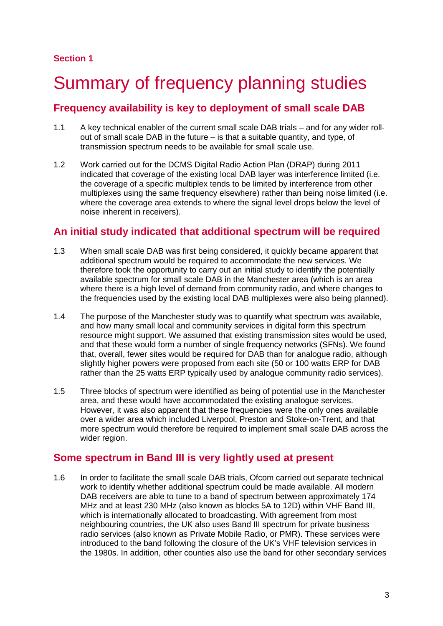# <span id="page-2-0"></span>**Summary of frequency planning studies**

## **Frequency availability is key to deployment of small scale DAB**

- 1.1 A key technical enabler of the current small scale DAB trials and for any wider rollout of small scale DAB in the future – is that a suitable quantity, and type, of transmission spectrum needs to be available for small scale use.
- 1.2 Work carried out for the DCMS Digital Radio Action Plan (DRAP) during 2011 indicated that coverage of the existing local DAB layer was interference limited (i.e. the coverage of a specific multiplex tends to be limited by interference from other multiplexes using the same frequency elsewhere) rather than being noise limited (i.e. where the coverage area extends to where the signal level drops below the level of noise inherent in receivers).

## **An initial study indicated that additional spectrum will be required**

- 1.3 When small scale DAB was first being considered, it quickly became apparent that additional spectrum would be required to accommodate the new services. We therefore took the opportunity to carry out an initial study to identify the potentially available spectrum for small scale DAB in the Manchester area (which is an area where there is a high level of demand from community radio, and where changes to the frequencies used by the existing local DAB multiplexes were also being planned).
- 1.4 The purpose of the Manchester study was to quantify what spectrum was available, and how many small local and community services in digital form this spectrum resource might support. We assumed that existing transmission sites would be used, and that these would form a number of single frequency networks (SFNs). We found that, overall, fewer sites would be required for DAB than for analogue radio, although slightly higher powers were proposed from each site (50 or 100 watts ERP for DAB rather than the 25 watts ERP typically used by analogue community radio services).
- 1.5 Three blocks of spectrum were identified as being of potential use in the Manchester area, and these would have accommodated the existing analogue services. However, it was also apparent that these frequencies were the only ones available over a wider area which included Liverpool, Preston and Stoke-on-Trent, and that more spectrum would therefore be required to implement small scale DAB across the wider region.

## **Some spectrum in Band III is very lightly used at present**

1.6 In order to facilitate the small scale DAB trials, Ofcom carried out separate technical work to identify whether additional spectrum could be made available. All modern DAB receivers are able to tune to a band of spectrum between approximately 174 MHz and at least 230 MHz (also known as blocks 5A to 12D) within VHF Band III, which is internationally allocated to broadcasting. With agreement from most neighbouring countries, the UK also uses Band III spectrum for private business radio services (also known as Private Mobile Radio, or PMR). These services were introduced to the band following the closure of the UK's VHF television services in the 1980s. In addition, other counties also use the band for other secondary services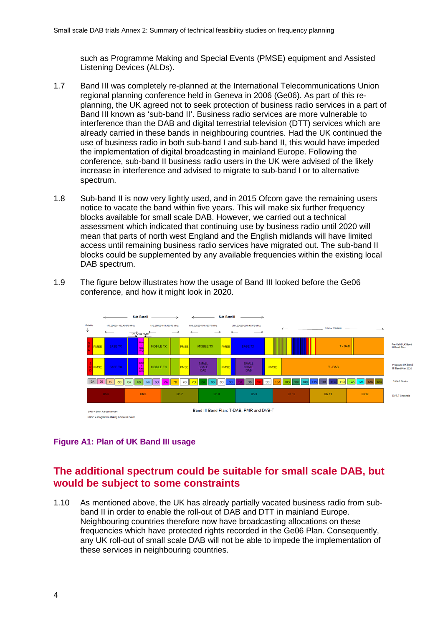such as Programme Making and Special Events (PMSE) equipment and Assisted Listening Devices (ALDs).

- 1.7 Band III was completely re-planned at the International Telecommunications Union regional planning conference held in Geneva in 2006 (Ge06). As part of this replanning, the UK agreed not to seek protection of business radio services in a part of Band III known as 'sub-band II'. Business radio services are more vulnerable to interference than the DAB and digital terrestrial television (DTT) services which are already carried in these bands in neighbouring countries. Had the UK continued the use of business radio in both sub-band I and sub-band II, this would have impeded the implementation of digital broadcasting in mainland Europe. Following the conference, sub-band II business radio users in the UK were advised of the likely increase in interference and advised to migrate to sub-band I or to alternative spectrum.
- 1.8 Sub-band II is now very lightly used, and in 2015 Ofcom gave the remaining users notice to vacate the band within five years. This will make six further frequency blocks available for small scale DAB. However, we carried out a technical assessment which indicated that continuing use by business radio until 2020 will mean that parts of north west England and the English midlands will have limited access until remaining business radio services have migrated out. The sub-band II blocks could be supplemented by any available frequencies within the existing local DAB spectrum.
- 1.9 The figure below illustrates how the usage of Band III looked before the Ge06 conference, and how it might look in 2020.



#### **Figure A1: Plan of UK Band III usage**

### **The additional spectrum could be suitable for small scale DAB, but would be subject to some constraints**

1.10 As mentioned above, the UK has already partially vacated business radio from subband II in order to enable the roll-out of DAB and DTT in mainland Europe. Neighbouring countries therefore now have broadcasting allocations on these frequencies which have protected rights recorded in the Ge06 Plan. Consequently, any UK roll-out of small scale DAB will not be able to impede the implementation of these services in neighbouring countries.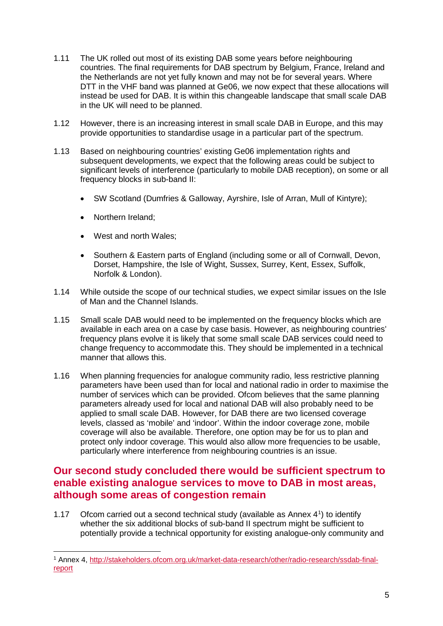- 1.11 The UK rolled out most of its existing DAB some years before neighbouring countries. The final requirements for DAB spectrum by Belgium, France, Ireland and the Netherlands are not yet fully known and may not be for several years. Where DTT in the VHF band was planned at Ge06, we now expect that these allocations will instead be used for DAB. It is within this changeable landscape that small scale DAB in the UK will need to be planned.
- 1.12 However, there is an increasing interest in small scale DAB in Europe, and this may provide opportunities to standardise usage in a particular part of the spectrum.
- 1.13 Based on neighbouring countries' existing Ge06 implementation rights and subsequent developments, we expect that the following areas could be subject to significant levels of interference (particularly to mobile DAB reception), on some or all frequency blocks in sub-band II:
	- SW Scotland (Dumfries & Galloway, Ayrshire, Isle of Arran, Mull of Kintyre);
	- Northern Ireland;
	- West and north Wales;
	- Southern & Eastern parts of England (including some or all of Cornwall, Devon, Dorset, Hampshire, the Isle of Wight, Sussex, Surrey, Kent, Essex, Suffolk, Norfolk & London).
- 1.14 While outside the scope of our technical studies, we expect similar issues on the Isle of Man and the Channel Islands.
- 1.15 Small scale DAB would need to be implemented on the frequency blocks which are available in each area on a case by case basis. However, as neighbouring countries' frequency plans evolve it is likely that some small scale DAB services could need to change frequency to accommodate this. They should be implemented in a technical manner that allows this.
- 1.16 When planning frequencies for analogue community radio, less restrictive planning parameters have been used than for local and national radio in order to maximise the number of services which can be provided. Ofcom believes that the same planning parameters already used for local and national DAB will also probably need to be applied to small scale DAB. However, for DAB there are two licensed coverage levels, classed as 'mobile' and 'indoor'. Within the indoor coverage zone, mobile coverage will also be available. Therefore, one option may be for us to plan and protect only indoor coverage. This would also allow more frequencies to be usable, particularly where interference from neighbouring countries is an issue.

### **Our second study concluded there would be sufficient spectrum to enable existing analogue services to move to DAB in most areas, although some areas of congestion remain**

1.17 Ofcom carried out a second technical study (available as Annex 4[1](#page-4-0) ) to identify whether the six additional blocks of sub-band II spectrum might be sufficient to potentially provide a technical opportunity for existing analogue-only community and

<span id="page-4-0"></span> <sup>1</sup> Annex 4, [http://stakeholders.ofcom.org.uk/market-data-research/other/radio-research/ssdab-final](http://stakeholders.ofcom.org.uk/market-data-research/other/radio-research/ssdab-final-report)[report](http://stakeholders.ofcom.org.uk/market-data-research/other/radio-research/ssdab-final-report)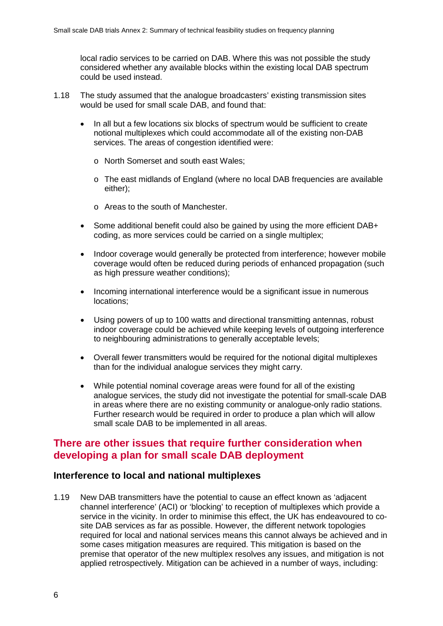local radio services to be carried on DAB. Where this was not possible the study considered whether any available blocks within the existing local DAB spectrum could be used instead.

- 1.18 The study assumed that the analogue broadcasters' existing transmission sites would be used for small scale DAB, and found that:
	- In all but a few locations six blocks of spectrum would be sufficient to create notional multiplexes which could accommodate all of the existing non-DAB services. The areas of congestion identified were:
		- o North Somerset and south east Wales;
		- o The east midlands of England (where no local DAB frequencies are available either);
		- o Areas to the south of Manchester.
	- Some additional benefit could also be gained by using the more efficient DAB+ coding, as more services could be carried on a single multiplex;
	- Indoor coverage would generally be protected from interference; however mobile coverage would often be reduced during periods of enhanced propagation (such as high pressure weather conditions);
	- Incoming international interference would be a significant issue in numerous locations;
	- Using powers of up to 100 watts and directional transmitting antennas, robust indoor coverage could be achieved while keeping levels of outgoing interference to neighbouring administrations to generally acceptable levels;
	- Overall fewer transmitters would be required for the notional digital multiplexes than for the individual analogue services they might carry.
	- While potential nominal coverage areas were found for all of the existing analogue services, the study did not investigate the potential for small-scale DAB in areas where there are no existing community or analogue-only radio stations. Further research would be required in order to produce a plan which will allow small scale DAB to be implemented in all areas.

### **There are other issues that require further consideration when developing a plan for small scale DAB deployment**

#### **Interference to local and national multiplexes**

1.19 New DAB transmitters have the potential to cause an effect known as 'adjacent channel interference' (ACI) or 'blocking' to reception of multiplexes which provide a service in the vicinity. In order to minimise this effect, the UK has endeavoured to cosite DAB services as far as possible. However, the different network topologies required for local and national services means this cannot always be achieved and in some cases mitigation measures are required. This mitigation is based on the premise that operator of the new multiplex resolves any issues, and mitigation is not applied retrospectively. Mitigation can be achieved in a number of ways, including: